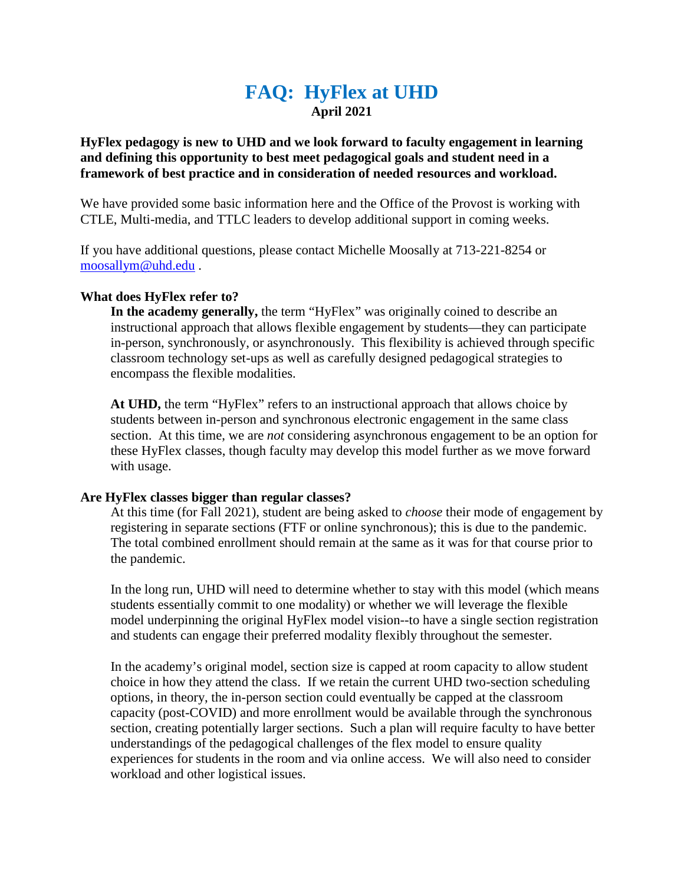# **FAQ: HyFlex at UHD April 2021**

# **HyFlex pedagogy is new to UHD and we look forward to faculty engagement in learning and defining this opportunity to best meet pedagogical goals and student need in a framework of best practice and in consideration of needed resources and workload.**

We have provided some basic information here and the Office of the Provost is working with CTLE, Multi-media, and TTLC leaders to develop additional support in coming weeks.

If you have additional questions, please contact Michelle Moosally at 713-221-8254 or [moosallym@uhd.edu](mailto:moosallym@uhd.edu) .

#### **What does HyFlex refer to?**

**In the academy generally,** the term "HyFlex" was originally coined to describe an instructional approach that allows flexible engagement by students—they can participate in-person, synchronously, or asynchronously. This flexibility is achieved through specific classroom technology set-ups as well as carefully designed pedagogical strategies to encompass the flexible modalities.

**At UHD,** the term "HyFlex" refers to an instructional approach that allows choice by students between in-person and synchronous electronic engagement in the same class section. At this time, we are *not* considering asynchronous engagement to be an option for these HyFlex classes, though faculty may develop this model further as we move forward with usage.

#### **Are HyFlex classes bigger than regular classes?**

At this time (for Fall 2021), student are being asked to *choose* their mode of engagement by registering in separate sections (FTF or online synchronous); this is due to the pandemic. The total combined enrollment should remain at the same as it was for that course prior to the pandemic.

In the long run, UHD will need to determine whether to stay with this model (which means students essentially commit to one modality) or whether we will leverage the flexible model underpinning the original HyFlex model vision--to have a single section registration and students can engage their preferred modality flexibly throughout the semester.

In the academy's original model, section size is capped at room capacity to allow student choice in how they attend the class. If we retain the current UHD two-section scheduling options, in theory, the in-person section could eventually be capped at the classroom capacity (post-COVID) and more enrollment would be available through the synchronous section, creating potentially larger sections. Such a plan will require faculty to have better understandings of the pedagogical challenges of the flex model to ensure quality experiences for students in the room and via online access. We will also need to consider workload and other logistical issues.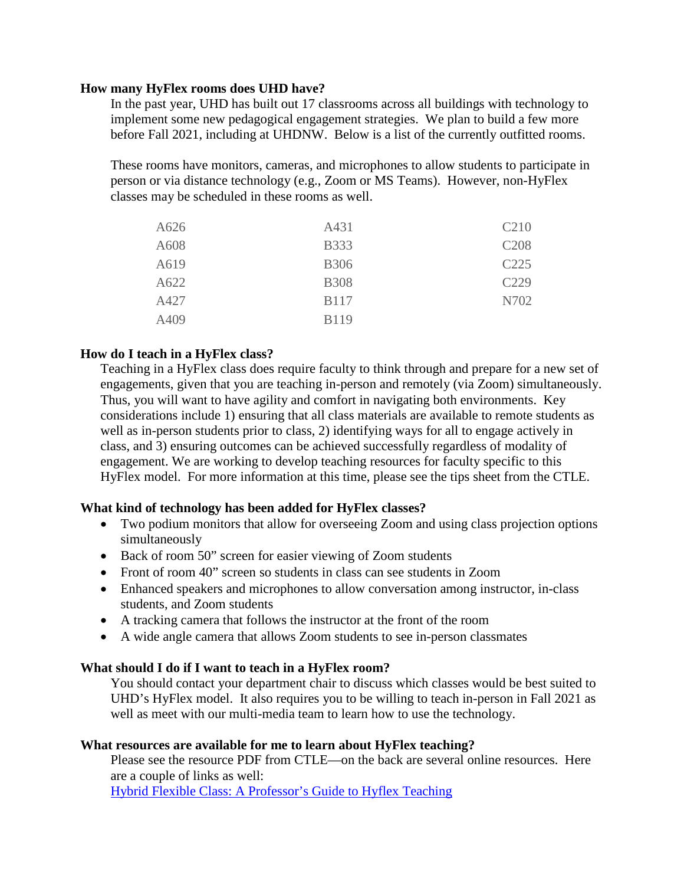### **How many HyFlex rooms does UHD have?**

In the past year, UHD has built out 17 classrooms across all buildings with technology to implement some new pedagogical engagement strategies. We plan to build a few more before Fall 2021, including at UHDNW. Below is a list of the currently outfitted rooms.

These rooms have monitors, cameras, and microphones to allow students to participate in person or via distance technology (e.g., Zoom or MS Teams). However, non-HyFlex classes may be scheduled in these rooms as well.

| A626 | A431        | C <sub>210</sub> |
|------|-------------|------------------|
| A608 | <b>B333</b> | C <sub>208</sub> |
| A619 | <b>B306</b> | C <sub>225</sub> |
| A622 | <b>B308</b> | C <sub>229</sub> |
| A427 | <b>B117</b> | N702             |
| A409 | <b>B119</b> |                  |

# **How do I teach in a HyFlex class?**

Teaching in a HyFlex class does require faculty to think through and prepare for a new set of engagements, given that you are teaching in-person and remotely (via Zoom) simultaneously. Thus, you will want to have agility and comfort in navigating both environments. Key considerations include 1) ensuring that all class materials are available to remote students as well as in-person students prior to class, 2) identifying ways for all to engage actively in class, and 3) ensuring outcomes can be achieved successfully regardless of modality of engagement. We are working to develop teaching resources for faculty specific to this HyFlex model. For more information at this time, please see the tips sheet from the CTLE.

### **What kind of technology has been added for HyFlex classes?**

- Two podium monitors that allow for overseeing Zoom and using class projection options simultaneously
- Back of room 50" screen for easier viewing of Zoom students
- Front of room 40" screen so students in class can see students in Zoom
- Enhanced speakers and microphones to allow conversation among instructor, in-class students, and Zoom students
- A tracking camera that follows the instructor at the front of the room
- A wide angle camera that allows Zoom students to see in-person classmates

### **What should I do if I want to teach in a HyFlex room?**

You should contact your department chair to discuss which classes would be best suited to UHD's HyFlex model. It also requires you to be willing to teach in-person in Fall 2021 as well as meet with our multi-media team to learn how to use the technology.

#### **What resources are available for me to learn about HyFlex teaching?**

Please see the resource PDF from CTLE—on the back are several online resources. Here are a couple of links as well:

[Hybrid Flexible Class: A Professor's Guide to Hyflex Teaching](https://medium.com/the-faculty/hyflex-teaching-d1347143ef3d)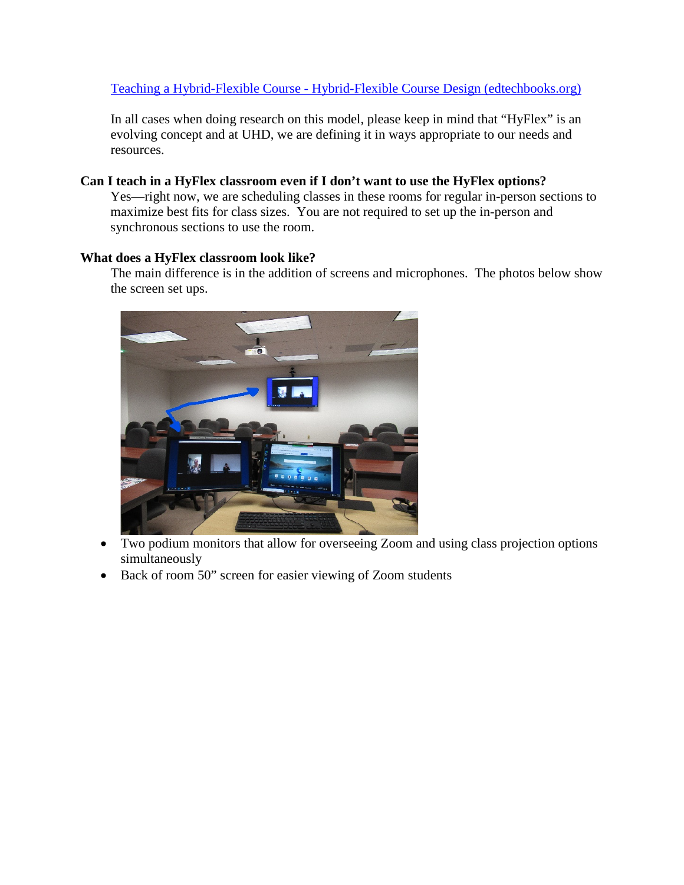# Teaching a Hybrid-Flexible Course - [Hybrid-Flexible Course Design \(edtechbooks.org\)](https://edtechbooks.org/hyflex/teaching_hyflex)

In all cases when doing research on this model, please keep in mind that "HyFlex" is an evolving concept and at UHD, we are defining it in ways appropriate to our needs and resources.

# **Can I teach in a HyFlex classroom even if I don't want to use the HyFlex options?**

Yes—right now, we are scheduling classes in these rooms for regular in-person sections to maximize best fits for class sizes. You are not required to set up the in-person and synchronous sections to use the room.

### **What does a HyFlex classroom look like?**

The main difference is in the addition of screens and microphones. The photos below show the screen set ups.



- Two podium monitors that allow for overseeing Zoom and using class projection options simultaneously
- Back of room 50" screen for easier viewing of Zoom students